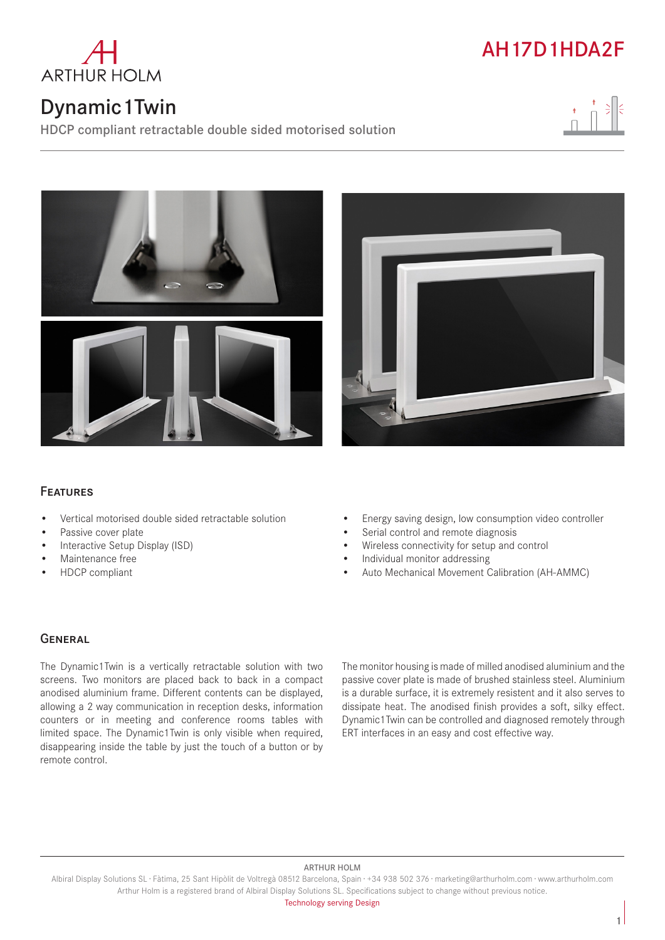

## Dynamic1Twin

HDCP compliant retractable double sided motorised solution









## Features

- Vertical motorised double sided retractable solution
- Passive cover plate
- Interactive Setup Display (ISD)
- Maintenance free
- HDCP compliant
- Energy saving design, low consumption video controller
- Serial control and remote diagnosis
- Wireless connectivity for setup and control
- Individual monitor addressing
- Auto Mechanical Movement Calibration (AH-AMMC)

### **GENERAL**

The Dynamic1Twin is a vertically retractable solution with two screens. Two monitors are placed back to back in a compact anodised aluminium frame. Different contents can be displayed, allowing a 2 way communication in reception desks, information counters or in meeting and conference rooms tables with limited space. The Dynamic1Twin is only visible when required, disappearing inside the table by just the touch of a button or by remote control.

The monitor housing is made of milled anodised aluminium and the passive cover plate is made of brushed stainless steel. Aluminium is a durable surface, it is extremely resistent and it also serves to dissipate heat. The anodised finish provides a soft, silky effect. Dynamic1Twin can be controlled and diagnosed remotely through ERT interfaces in an easy and cost effective way.

#### ARTHUR HOLM

Albiral Display Solutions SL · Fàtima, 25 Sant Hipòlit de Voltregà 08512 Barcelona, Spain · +34 938 502 376 · marketing@arthurholm.com · www.arthurholm.com Arthur Holm is a registered brand of Albiral Display Solutions SL. Specifications subject to change without previous notice.

Technology serving Design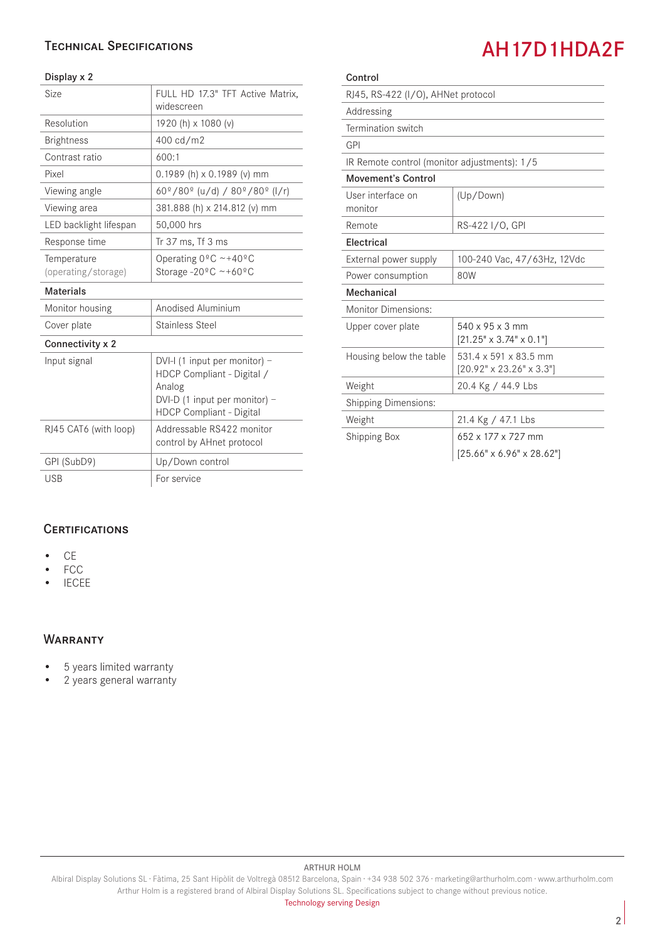## Technical Specifications

#### Display x 2

| Size                               | FULL HD 17.3" TFT Active Matrix,<br>widescreen                                                                                            |
|------------------------------------|-------------------------------------------------------------------------------------------------------------------------------------------|
| Resolution                         | 1920 (h) x 1080 (v)                                                                                                                       |
| <b>Brightness</b>                  | 400 cd/m2                                                                                                                                 |
| Contrast ratio                     | 600:1                                                                                                                                     |
| Pixel                              | 0.1989 (h) x 0.1989 (v) mm                                                                                                                |
| Viewing angle                      | $60^{\circ}/80^{\circ}$ (u/d) / $80^{\circ}/80^{\circ}$ (l/r)                                                                             |
| Viewing area                       | 381.888 (h) x 214.812 (v) mm                                                                                                              |
| LED backlight lifespan             | 50,000 hrs                                                                                                                                |
| Response time                      | Tr 37 ms, Tf 3 ms                                                                                                                         |
| Temperature<br>(operating/storage) | Operating $0^{\circ}$ C ~+40°C<br>Storage -20 $^{\circ}$ C ~+60 $^{\circ}$ C                                                              |
| <b>Materials</b>                   |                                                                                                                                           |
| Monitor housing                    | Anodised Aluminium                                                                                                                        |
| Cover plate                        | <b>Stainless Steel</b>                                                                                                                    |
| Connectivity x 2                   |                                                                                                                                           |
| Input signal                       | DVI-I (1 input per monitor) -<br>HDCP Compliant - Digital /<br>Analog<br>DVI-D (1 input per monitor) -<br><b>HDCP Compliant - Digital</b> |
| RJ45 CAT6 (with loop)              | Addressable RS422 monitor<br>control by AHnet protocol                                                                                    |
| GPI (SubD9)                        | Up/Down control                                                                                                                           |
| <b>USB</b>                         | For service                                                                                                                               |

| Control                                      |                                                               |
|----------------------------------------------|---------------------------------------------------------------|
| RJ45, RS-422 (I/O), AHNet protocol           |                                                               |
| Addressing                                   |                                                               |
| Termination switch                           |                                                               |
| GPI                                          |                                                               |
| IR Remote control (monitor adjustments): 1/5 |                                                               |
| <b>Movement's Control</b>                    |                                                               |
| User interface on<br>monitor                 | (Up/Down)                                                     |
| Remote                                       | RS-422 I/O, GPI                                               |
| Electrical                                   |                                                               |
| External power supply                        | 100-240 Vac, 47/63Hz, 12Vdc                                   |
| Power consumption                            | 80W                                                           |
| Mechanical                                   |                                                               |
| <b>Monitor Dimensions:</b>                   |                                                               |
| Upper cover plate                            | 540 x 95 x 3 mm<br>$[21.25" \times 3.74" \times 0.1"]$        |
| Housing below the table                      | 531.4 x 591 x 83.5 mm<br>$[20.92" \times 23.26" \times 3.3"]$ |
| Weight                                       | 20.4 Kg / 44.9 Lbs                                            |
| <b>Shipping Dimensions:</b>                  |                                                               |
| Weight                                       | 21.4 Kg / 47.1 Lbs                                            |
| <b>Shipping Box</b>                          | 652 x 177 x 727 mm                                            |
|                                              | $[25.66" \times 6.96" \times 28.62"]$                         |

**CERTIFICATIONS** 

- CE
- FCC
- IECEE

#### **WARRANTY**

- 5 years limited warranty
- 2 years general warranty

#### ARTHUR HOLM

Albiral Display Solutions SL · Fàtima, 25 Sant Hipòlit de Voltregà 08512 Barcelona, Spain · +34 938 502 376 · marketing@arthurholm.com · www.arthurholm.com Arthur Holm is a registered brand of Albiral Display Solutions SL. Specifications subject to change without previous notice.

# AH17D1HDA2F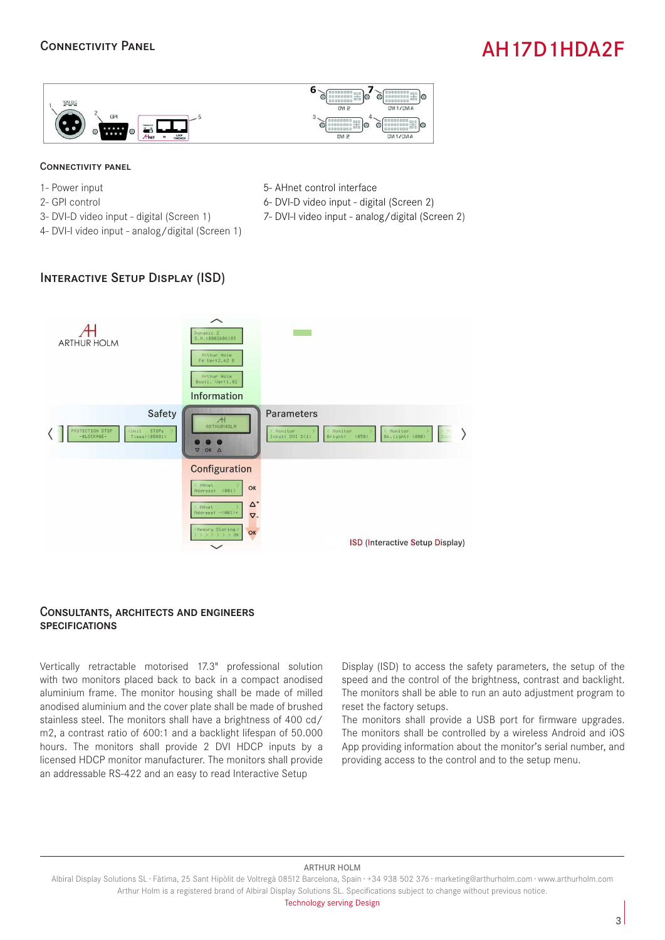### Connectivity Panel

# AH17D1HDA2F



#### Connectivity panel

- 1- Power input
- 2- GPI control
- 3- DVI-D video input digital (Screen 1)
- 4- DVI-I video input analog/digital (Screen 1)
- 5- AHnet control interface
- 6- DVI-D video input digital (Screen 2)
- 7- DVI-I video input analog/digital (Screen 2)

## Interactive Setup Display (ISD)



#### Consultants, architects and engineers **SPECIFICATIONS**

Vertically retractable motorised 17.3" professional solution with two monitors placed back to back in a compact anodised aluminium frame. The monitor housing shall be made of milled anodised aluminium and the cover plate shall be made of brushed stainless steel. The monitors shall have a brightness of 400 cd/ m2, a contrast ratio of 600:1 and a backlight lifespan of 50.000 hours. The monitors shall provide 2 DVI HDCP inputs by a licensed HDCP monitor manufacturer. The monitors shall provide an addressable RS-422 and an easy to read Interactive Setup

Display (ISD) to access the safety parameters, the setup of the speed and the control of the brightness, contrast and backlight. The monitors shall be able to run an auto adjustment program to reset the factory setups.

The monitors shall provide a USB port for firmware upgrades. The monitors shall be controlled by a wireless Android and iOS App providing information about the monitor's serial number, and providing access to the control and to the setup menu.

#### ARTHUR HOLM

Technology serving Design

Albiral Display Solutions SL · Fàtima, 25 Sant Hipòlit de Voltregà 08512 Barcelona, Spain · +34 938 502 376 · marketing@arthurholm.com · www.arthurholm.com Arthur Holm is a registered brand of Albiral Display Solutions SL. Specifications subject to change without previous notice.